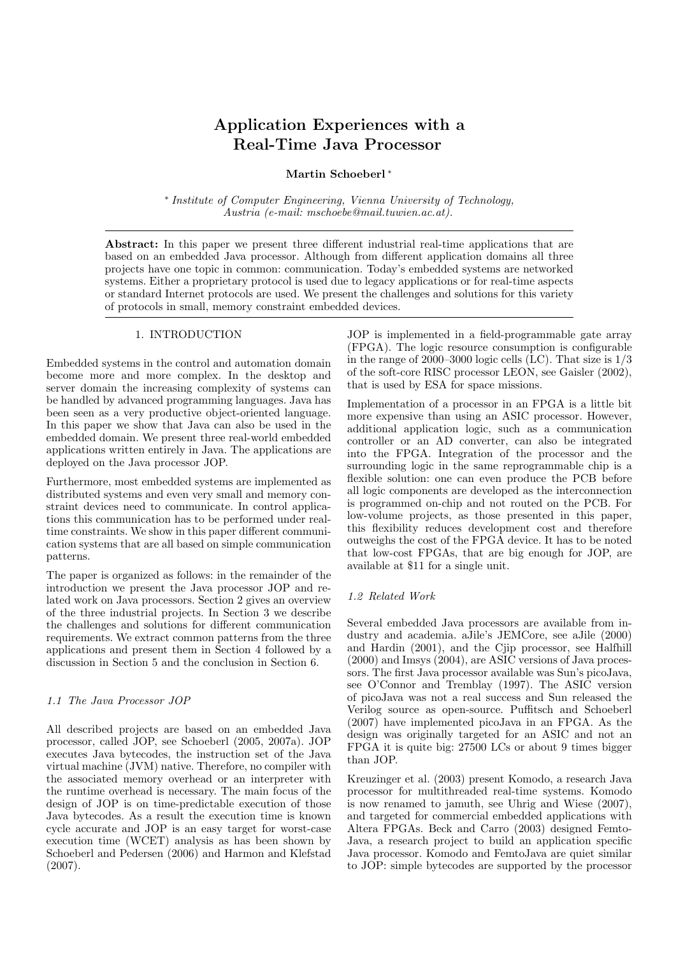# Application Experiences with a Real-Time Java Processor

# Martin Schoeberl<sup>\*</sup>

∗ Institute of Computer Engineering, Vienna University of Technology, Austria (e-mail: mschoebe@mail.tuwien.ac.at).

Abstract: In this paper we present three different industrial real-time applications that are based on an embedded Java processor. Although from different application domains all three projects have one topic in common: communication. Today's embedded systems are networked systems. Either a proprietary protocol is used due to legacy applications or for real-time aspects or standard Internet protocols are used. We present the challenges and solutions for this variety of protocols in small, memory constraint embedded devices.

## 1. INTRODUCTION

Embedded systems in the control and automation domain become more and more complex. In the desktop and server domain the increasing complexity of systems can be handled by advanced programming languages. Java has been seen as a very productive object-oriented language. In this paper we show that Java can also be used in the embedded domain. We present three real-world embedded applications written entirely in Java. The applications are deployed on the Java processor JOP.

Furthermore, most embedded systems are implemented as distributed systems and even very small and memory constraint devices need to communicate. In control applications this communication has to be performed under realtime constraints. We show in this paper different communication systems that are all based on simple communication patterns.

The paper is organized as follows: in the remainder of the introduction we present the Java processor JOP and related work on Java processors. Section 2 gives an overview of the three industrial projects. In Section 3 we describe the challenges and solutions for different communication requirements. We extract common patterns from the three applications and present them in Section 4 followed by a discussion in Section 5 and the conclusion in Section 6.

## 1.1 The Java Processor JOP

All described projects are based on an embedded Java processor, called JOP, see Schoeberl (2005, 2007a). JOP executes Java bytecodes, the instruction set of the Java virtual machine (JVM) native. Therefore, no compiler with the associated memory overhead or an interpreter with the runtime overhead is necessary. The main focus of the design of JOP is on time-predictable execution of those Java bytecodes. As a result the execution time is known cycle accurate and JOP is an easy target for worst-case execution time (WCET) analysis as has been shown by Schoeberl and Pedersen (2006) and Harmon and Klefstad (2007).

JOP is implemented in a field-programmable gate array (FPGA). The logic resource consumption is configurable in the range of 2000–3000 logic cells  $(LC)$ . That size is  $1/3$ of the soft-core RISC processor LEON, see Gaisler (2002), that is used by ESA for space missions.

Implementation of a processor in an FPGA is a little bit more expensive than using an ASIC processor. However, additional application logic, such as a communication controller or an AD converter, can also be integrated into the FPGA. Integration of the processor and the surrounding logic in the same reprogrammable chip is a flexible solution: one can even produce the PCB before all logic components are developed as the interconnection is programmed on-chip and not routed on the PCB. For low-volume projects, as those presented in this paper, this flexibility reduces development cost and therefore outweighs the cost of the FPGA device. It has to be noted that low-cost FPGAs, that are big enough for JOP, are available at \$11 for a single unit.

#### 1.2 Related Work

Several embedded Java processors are available from industry and academia. aJile's JEMCore, see aJile (2000) and Hardin (2001), and the Cjip processor, see Halfhill (2000) and Imsys (2004), are ASIC versions of Java processors. The first Java processor available was Sun's picoJava, see O'Connor and Tremblay (1997). The ASIC version of picoJava was not a real success and Sun released the Verilog source as open-source. Puffitsch and Schoeberl (2007) have implemented picoJava in an FPGA. As the design was originally targeted for an ASIC and not an FPGA it is quite big: 27500 LCs or about 9 times bigger than JOP.

Kreuzinger et al. (2003) present Komodo, a research Java processor for multithreaded real-time systems. Komodo is now renamed to jamuth, see Uhrig and Wiese (2007), and targeted for commercial embedded applications with Altera FPGAs. Beck and Carro (2003) designed Femto-Java, a research project to build an application specific Java processor. Komodo and FemtoJava are quiet similar to JOP: simple bytecodes are supported by the processor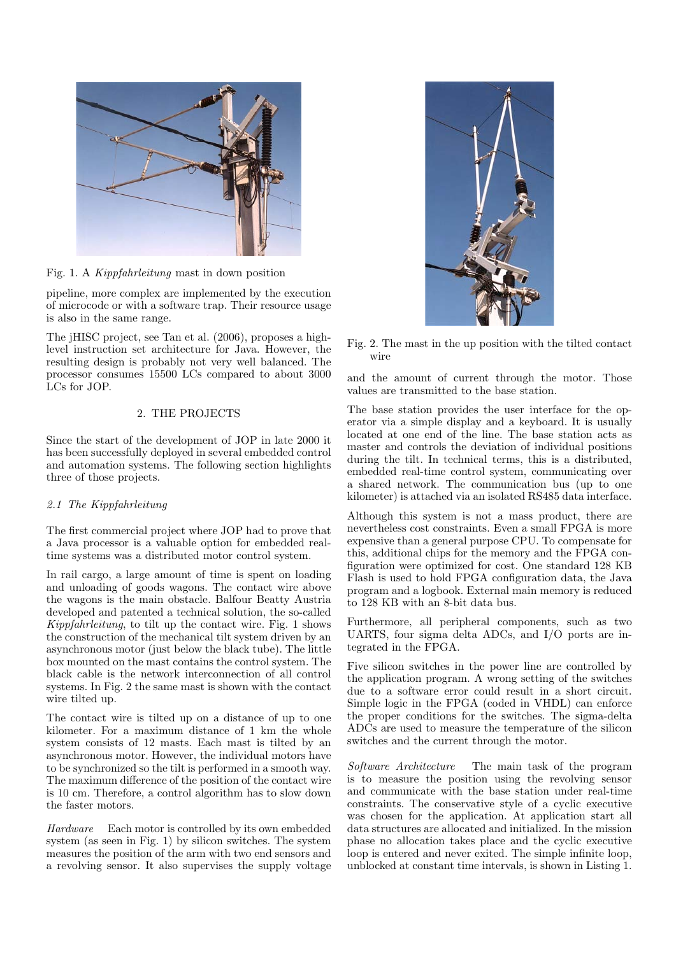

Fig. 1. A Kippfahrleitung mast in down position

pipeline, more complex are implemented by the execution of microcode or with a software trap. Their resource usage is also in the same range.

The jHISC project, see Tan et al. (2006), proposes a highlevel instruction set architecture for Java. However, the resulting design is probably not very well balanced. The processor consumes 15500 LCs compared to about 3000 LCs for JOP.

## 2. THE PROJECTS

Since the start of the development of JOP in late 2000 it has been successfully deployed in several embedded control and automation systems. The following section highlights three of those projects.

## 2.1 The Kippfahrleitung

The first commercial project where JOP had to prove that a Java processor is a valuable option for embedded realtime systems was a distributed motor control system.

In rail cargo, a large amount of time is spent on loading and unloading of goods wagons. The contact wire above the wagons is the main obstacle. Balfour Beatty Austria developed and patented a technical solution, the so-called Kippfahrleitung, to tilt up the contact wire. Fig. 1 shows the construction of the mechanical tilt system driven by an asynchronous motor (just below the black tube). The little box mounted on the mast contains the control system. The black cable is the network interconnection of all control systems. In Fig. 2 the same mast is shown with the contact wire tilted up.

The contact wire is tilted up on a distance of up to one kilometer. For a maximum distance of 1 km the whole system consists of 12 masts. Each mast is tilted by an asynchronous motor. However, the individual motors have to be synchronized so the tilt is performed in a smooth way. The maximum difference of the position of the contact wire is 10 cm. Therefore, a control algorithm has to slow down the faster motors.

Hardware Each motor is controlled by its own embedded system (as seen in Fig. 1) by silicon switches. The system measures the position of the arm with two end sensors and a revolving sensor. It also supervises the supply voltage



Fig. 2. The mast in the up position with the tilted contact wire

and the amount of current through the motor. Those values are transmitted to the base station.

The base station provides the user interface for the operator via a simple display and a keyboard. It is usually located at one end of the line. The base station acts as master and controls the deviation of individual positions during the tilt. In technical terms, this is a distributed, embedded real-time control system, communicating over a shared network. The communication bus (up to one kilometer) is attached via an isolated RS485 data interface.

Although this system is not a mass product, there are nevertheless cost constraints. Even a small FPGA is more expensive than a general purpose CPU. To compensate for this, additional chips for the memory and the FPGA configuration were optimized for cost. One standard 128 KB Flash is used to hold FPGA configuration data, the Java program and a logbook. External main memory is reduced to 128 KB with an 8-bit data bus.

Furthermore, all peripheral components, such as two UARTS, four sigma delta ADCs, and I/O ports are integrated in the FPGA.

Five silicon switches in the power line are controlled by the application program. A wrong setting of the switches due to a software error could result in a short circuit. Simple logic in the FPGA (coded in VHDL) can enforce the proper conditions for the switches. The sigma-delta ADCs are used to measure the temperature of the silicon switches and the current through the motor.

Software Architecture The main task of the program is to measure the position using the revolving sensor and communicate with the base station under real-time constraints. The conservative style of a cyclic executive was chosen for the application. At application start all data structures are allocated and initialized. In the mission phase no allocation takes place and the cyclic executive loop is entered and never exited. The simple infinite loop, unblocked at constant time intervals, is shown in Listing 1.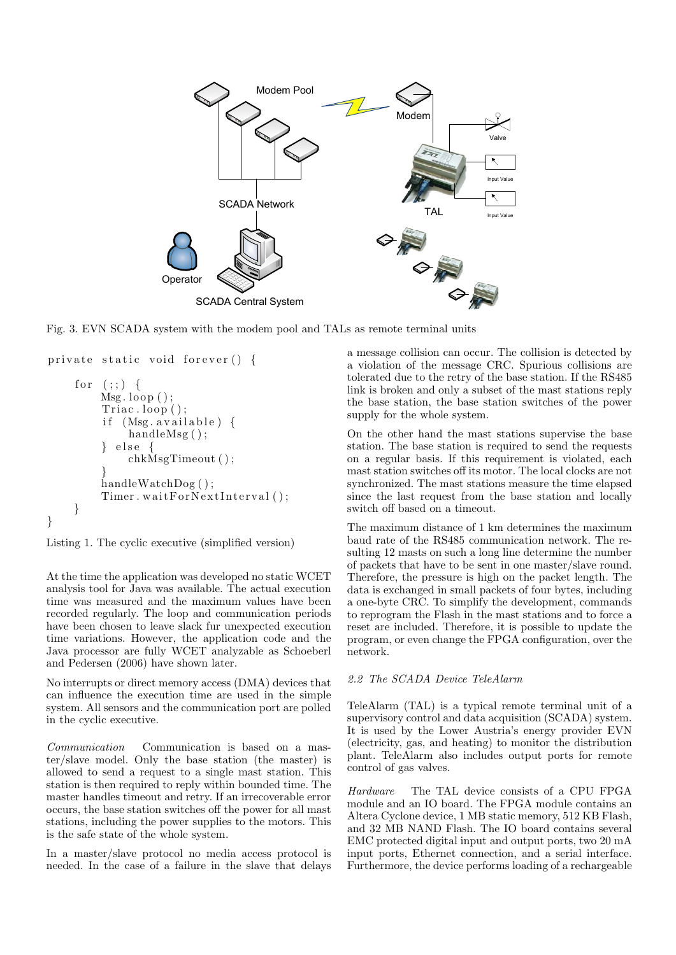

Fig. 3. EVN SCADA system with the modem pool and TALs as remote terminal units

```
private static void forever () \{for (:;) {
         Msg. loop();
         Triac. loop ( );
         if (Msg. <i>available</i>) {
              handleMsg();
            e l s e {
              chkMsgTimeout ( ) ;
          }
         handleWatchDog();
         Timer \cdot waitForNextInterval();
    }
}
```
Listing 1. The cyclic executive (simplified version)

At the time the application was developed no static WCET analysis tool for Java was available. The actual execution time was measured and the maximum values have been recorded regularly. The loop and communication periods have been chosen to leave slack fur unexpected execution time variations. However, the application code and the Java processor are fully WCET analyzable as Schoeberl and Pedersen (2006) have shown later.

No interrupts or direct memory access (DMA) devices that can influence the execution time are used in the simple system. All sensors and the communication port are polled in the cyclic executive.

Communication Communication is based on a master/slave model. Only the base station (the master) is allowed to send a request to a single mast station. This station is then required to reply within bounded time. The master handles timeout and retry. If an irrecoverable error occurs, the base station switches off the power for all mast stations, including the power supplies to the motors. This is the safe state of the whole system.

In a master/slave protocol no media access protocol is needed. In the case of a failure in the slave that delays

a message collision can occur. The collision is detected by a violation of the message CRC. Spurious collisions are tolerated due to the retry of the base station. If the RS485 link is broken and only a subset of the mast stations reply the base station, the base station switches of the power supply for the whole system.

On the other hand the mast stations supervise the base station. The base station is required to send the requests on a regular basis. If this requirement is violated, each mast station switches off its motor. The local clocks are not synchronized. The mast stations measure the time elapsed since the last request from the base station and locally switch off based on a timeout.

The maximum distance of 1 km determines the maximum baud rate of the RS485 communication network. The resulting 12 masts on such a long line determine the number of packets that have to be sent in one master/slave round. Therefore, the pressure is high on the packet length. The data is exchanged in small packets of four bytes, including a one-byte CRC. To simplify the development, commands to reprogram the Flash in the mast stations and to force a reset are included. Therefore, it is possible to update the program, or even change the FPGA configuration, over the network.

## 2.2 The SCADA Device TeleAlarm

TeleAlarm (TAL) is a typical remote terminal unit of a supervisory control and data acquisition (SCADA) system. It is used by the Lower Austria's energy provider EVN (electricity, gas, and heating) to monitor the distribution plant. TeleAlarm also includes output ports for remote control of gas valves.

Hardware The TAL device consists of a CPU FPGA module and an IO board. The FPGA module contains an Altera Cyclone device, 1 MB static memory, 512 KB Flash, and 32 MB NAND Flash. The IO board contains several EMC protected digital input and output ports, two 20 mA input ports, Ethernet connection, and a serial interface. Furthermore, the device performs loading of a rechargeable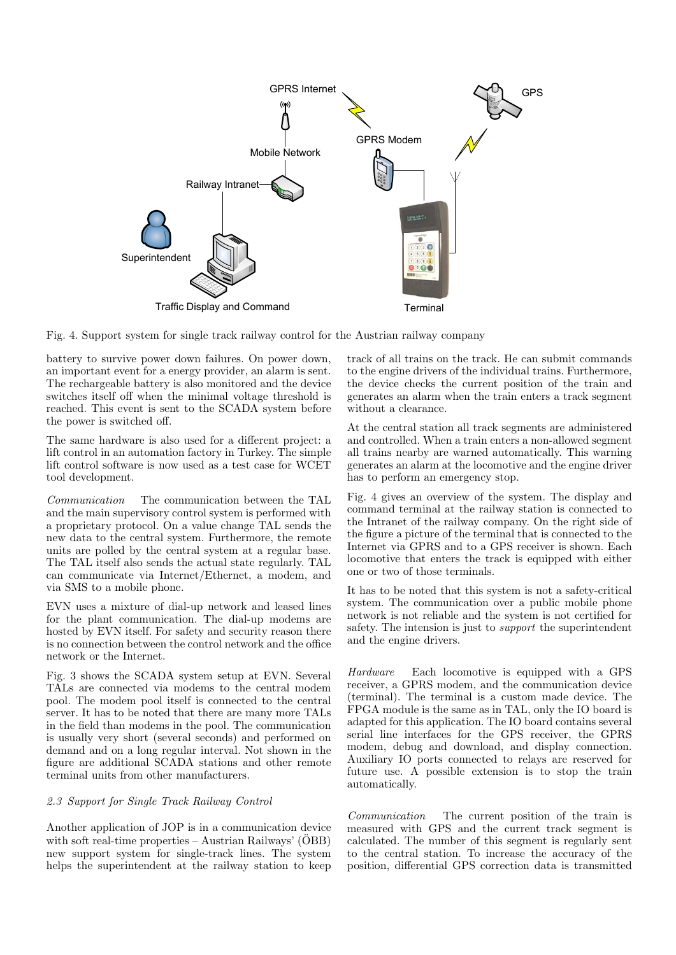

Fig. 4. Support system for single track railway control for the Austrian railway company

battery to survive power down failures. On power down, an important event for a energy provider, an alarm is sent. The rechargeable battery is also monitored and the device switches itself off when the minimal voltage threshold is reached. This event is sent to the SCADA system before the power is switched off.

The same hardware is also used for a different project: a lift control in an automation factory in Turkey. The simple lift control software is now used as a test case for WCET tool development.

Communication The communication between the TAL and the main supervisory control system is performed with a proprietary protocol. On a value change TAL sends the new data to the central system. Furthermore, the remote units are polled by the central system at a regular base. The TAL itself also sends the actual state regularly. TAL can communicate via Internet/Ethernet, a modem, and via SMS to a mobile phone.

EVN uses a mixture of dial-up network and leased lines for the plant communication. The dial-up modems are hosted by EVN itself. For safety and security reason there is no connection between the control network and the office network or the Internet.

Fig. 3 shows the SCADA system setup at EVN. Several TALs are connected via modems to the central modem pool. The modem pool itself is connected to the central server. It has to be noted that there are many more TALs in the field than modems in the pool. The communication is usually very short (several seconds) and performed on demand and on a long regular interval. Not shown in the figure are additional SCADA stations and other remote terminal units from other manufacturers.

## 2.3 Support for Single Track Railway Control

Another application of JOP is in a communication device with soft real-time properties – Austrian Railways'  $(\ddot{O}BB)$ new support system for single-track lines. The system helps the superintendent at the railway station to keep track of all trains on the track. He can submit commands to the engine drivers of the individual trains. Furthermore, the device checks the current position of the train and generates an alarm when the train enters a track segment without a clearance.

At the central station all track segments are administered and controlled. When a train enters a non-allowed segment all trains nearby are warned automatically. This warning generates an alarm at the locomotive and the engine driver has to perform an emergency stop.

Fig. 4 gives an overview of the system. The display and command terminal at the railway station is connected to the Intranet of the railway company. On the right side of the figure a picture of the terminal that is connected to the Internet via GPRS and to a GPS receiver is shown. Each locomotive that enters the track is equipped with either one or two of those terminals.

It has to be noted that this system is not a safety-critical system. The communication over a public mobile phone network is not reliable and the system is not certified for safety. The intension is just to support the superintendent and the engine drivers.

Hardware Each locomotive is equipped with a GPS receiver, a GPRS modem, and the communication device (terminal). The terminal is a custom made device. The FPGA module is the same as in TAL, only the IO board is adapted for this application. The IO board contains several serial line interfaces for the GPS receiver, the GPRS modem, debug and download, and display connection. Auxiliary IO ports connected to relays are reserved for future use. A possible extension is to stop the train automatically.

Communication The current position of the train is measured with GPS and the current track segment is calculated. The number of this segment is regularly sent to the central station. To increase the accuracy of the position, differential GPS correction data is transmitted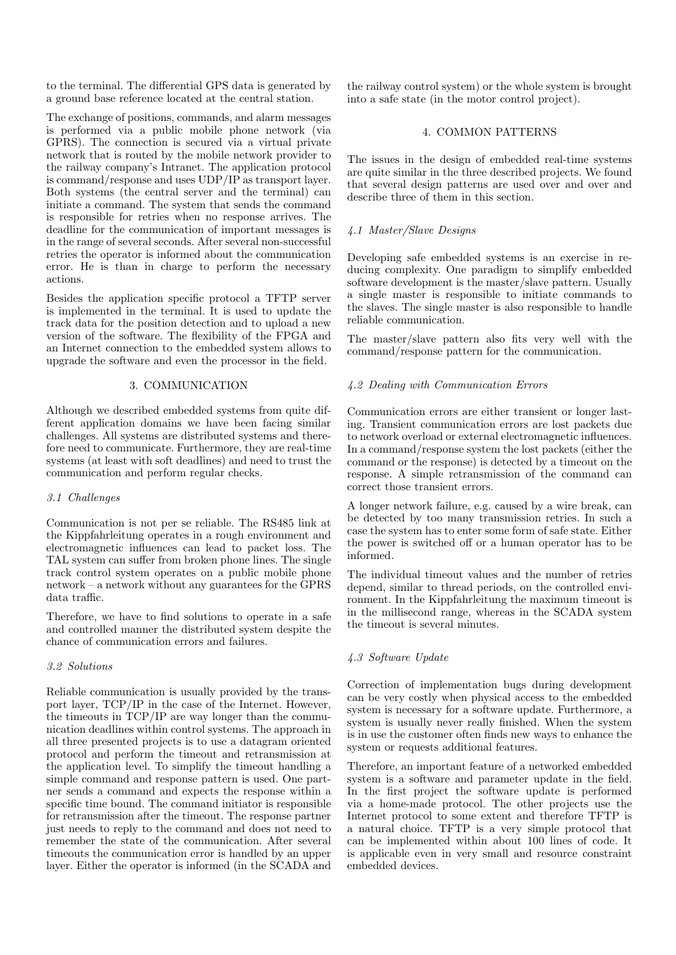to the terminal. The differential GPS data is generated by a ground base reference located at the central station.

The exchange of positions, commands, and alarm messages is performed via a public mobile phone network (via GPRS). The connection is secured via a virtual private network that is routed by the mobile network provider to the railway company's Intranet. The application protocol is command/response and uses UDP/IP as transport layer. Both systems (the central server and the terminal) can initiate a command. The system that sends the command is responsible for retries when no response arrives. The deadline for the communication of important messages is in the range of several seconds. After several non-successful retries the operator is informed about the communication error. He is than in charge to perform the necessary actions.

Besides the application specific protocol a TFTP server is implemented in the terminal. It is used to update the track data for the position detection and to upload a new version of the software. The flexibility of the FPGA and an Internet connection to the embedded system allows to upgrade the software and even the processor in the field.

#### 3. COMMUNICATION

Although we described embedded systems from quite different application domains we have been facing similar challenges. All systems are distributed systems and therefore need to communicate. Furthermore, they are real-time systems (at least with soft deadlines) and need to trust the communication and perform regular checks.

## 3.1 Challenges

Communication is not per se reliable. The RS485 link at the Kippfahrleitung operates in a rough environment and electromagnetic influences can lead to packet loss. The TAL system can suffer from broken phone lines. The single track control system operates on a public mobile phone network – a network without any guarantees for the GPRS data traffic.

Therefore, we have to find solutions to operate in a safe and controlled manner the distributed system despite the chance of communication errors and failures.

#### 3.2 Solutions

Reliable communication is usually provided by the transport layer, TCP/IP in the case of the Internet. However, the timeouts in TCP/IP are way longer than the communication deadlines within control systems. The approach in all three presented projects is to use a datagram oriented protocol and perform the timeout and retransmission at the application level. To simplify the timeout handling a simple command and response pattern is used. One partner sends a command and expects the response within a specific time bound. The command initiator is responsible for retransmission after the timeout. The response partner just needs to reply to the command and does not need to remember the state of the communication. After several timeouts the communication error is handled by an upper layer. Either the operator is informed (in the SCADA and

the railway control system) or the whole system is brought into a safe state (in the motor control project).

## 4. COMMON PATTERNS

The issues in the design of embedded real-time systems are quite similar in the three described projects. We found that several design patterns are used over and over and describe three of them in this section.

## 4.1 Master/Slave Designs

Developing safe embedded systems is an exercise in reducing complexity. One paradigm to simplify embedded software development is the master/slave pattern. Usually a single master is responsible to initiate commands to the slaves. The single master is also responsible to handle reliable communication.

The master/slave pattern also fits very well with the command/response pattern for the communication.

#### 4.2 Dealing with Communication Errors

Communication errors are either transient or longer lasting. Transient communication errors are lost packets due to network overload or external electromagnetic influences. In a command/response system the lost packets (either the command or the response) is detected by a timeout on the response. A simple retransmission of the command can correct those transient errors.

A longer network failure, e.g. caused by a wire break, can be detected by too many transmission retries. In such a case the system has to enter some form of safe state. Either the power is switched off or a human operator has to be informed.

The individual timeout values and the number of retries depend, similar to thread periods, on the controlled environment. In the Kippfahrleitung the maximum timeout is in the millisecond range, whereas in the SCADA system the timeout is several minutes.

## 4.3 Software Update

Correction of implementation bugs during development can be very costly when physical access to the embedded system is necessary for a software update. Furthermore, a system is usually never really finished. When the system is in use the customer often finds new ways to enhance the system or requests additional features.

Therefore, an important feature of a networked embedded system is a software and parameter update in the field. In the first project the software update is performed via a home-made protocol. The other projects use the Internet protocol to some extent and therefore TFTP is a natural choice. TFTP is a very simple protocol that can be implemented within about 100 lines of code. It is applicable even in very small and resource constraint embedded devices.